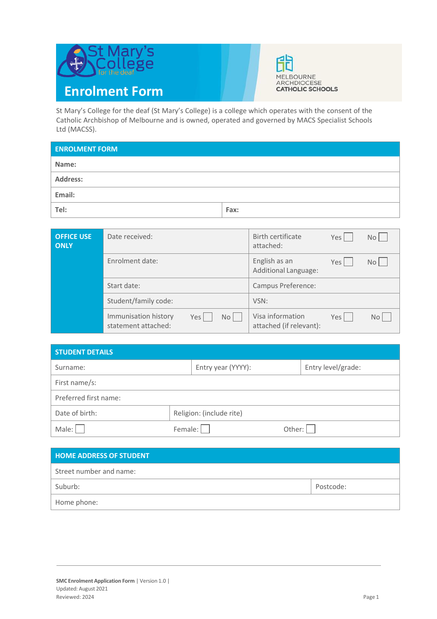



St Mary's College for the deaf (St Mary's College) is a college which operates with the consent of the Catholic Archbishop of Melbourne and is owned, operated and governed by MACS Specialist Schools Ltd (MACSS).

| <b>ENROLMENT FORM</b> |      |
|-----------------------|------|
| Name:                 |      |
| Address:              |      |
| Email:                |      |
| Tel:                  | Fax: |

| <b>OFFICE USE</b><br><b>ONLY</b> | Date received:                                             | Birth certificate<br>attached:              | Yes | No <sub>1</sub> |
|----------------------------------|------------------------------------------------------------|---------------------------------------------|-----|-----------------|
|                                  | Enrolment date:                                            | English as an<br>Additional Language:       | Yes | No L            |
|                                  | Start date:                                                | Campus Preference:                          |     |                 |
|                                  | Student/family code:                                       | VSN:                                        |     |                 |
|                                  | Immunisation history<br>No<br>Yes  <br>statement attached: | Visa information<br>attached (if relevant): | Yes | No L            |

| <b>STUDENT DETAILS</b> |                          |                    |  |  |  |  |
|------------------------|--------------------------|--------------------|--|--|--|--|
| Surname:               | Entry year (YYYY):       | Entry level/grade: |  |  |  |  |
| First name/s:          |                          |                    |  |  |  |  |
| Preferred first name:  |                          |                    |  |  |  |  |
| Date of birth:         | Religion: (include rite) |                    |  |  |  |  |
| Male:                  | Female:                  | Other:             |  |  |  |  |

| <b>HOME ADDRESS OF STUDENT</b> |           |
|--------------------------------|-----------|
| Street number and name:        |           |
| Suburb:                        | Postcode: |
| Home phone:                    |           |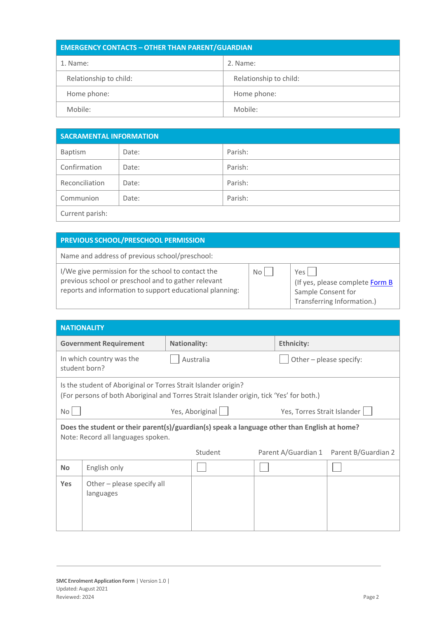| <b>EMERGENCY CONTACTS - OTHER THAN PARENT/GUARDIAN</b> |                        |  |  |
|--------------------------------------------------------|------------------------|--|--|
| 1. Name:                                               | 2. Name:               |  |  |
| Relationship to child:                                 | Relationship to child: |  |  |
| Home phone:                                            | Home phone:            |  |  |
| Mobile:                                                | Mobile:                |  |  |

| <b>SACRAMENTAL INFORMATION</b> |       |         |
|--------------------------------|-------|---------|
| Baptism                        | Date: | Parish: |
| Confirmation                   | Date: | Parish: |
| Reconciliation                 | Date: | Parish: |
| Communion                      | Date: | Parish: |
| Current parish:                |       |         |

| PREVIOUS SCHOOL/PRESCHOOL PERMISSION                                                                                                                                  |      |                                                                                            |
|-----------------------------------------------------------------------------------------------------------------------------------------------------------------------|------|--------------------------------------------------------------------------------------------|
| Name and address of previous school/preschool:                                                                                                                        |      |                                                                                            |
| I/We give permission for the school to contact the<br>previous school or preschool and to gather relevant<br>reports and information to support educational planning: | No l | Yes<br>(If yes, please complete Form B<br>Sample Consent for<br>Transferring Information.) |

|            | <b>NATIONALITY</b>                                                                                                                                         |                     |           |  |                             |                     |
|------------|------------------------------------------------------------------------------------------------------------------------------------------------------------|---------------------|-----------|--|-----------------------------|---------------------|
|            | <b>Government Requirement</b>                                                                                                                              | <b>Nationality:</b> |           |  | <b>Ethnicity:</b>           |                     |
|            | In which country was the<br>student born?                                                                                                                  |                     | Australia |  | Other - please specify:     |                     |
|            | Is the student of Aboriginal or Torres Strait Islander origin?<br>(For persons of both Aboriginal and Torres Strait Islander origin, tick 'Yes' for both.) |                     |           |  |                             |                     |
| No         |                                                                                                                                                            | Yes, Aboriginal     |           |  | Yes, Torres Strait Islander |                     |
|            | Does the student or their parent(s)/guardian(s) speak a language other than English at home?<br>Note: Record all languages spoken.                         |                     |           |  |                             |                     |
|            |                                                                                                                                                            |                     | Student   |  | Parent A/Guardian 1         | Parent B/Guardian 2 |
| <b>No</b>  | English only                                                                                                                                               |                     |           |  |                             |                     |
| <b>Yes</b> | Other - please specify all<br>languages                                                                                                                    |                     |           |  |                             |                     |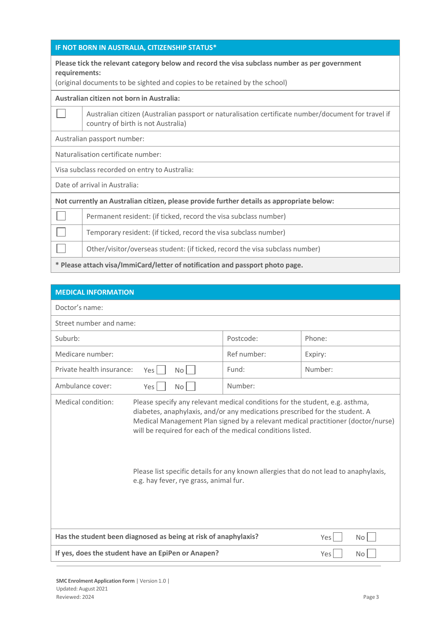## **IF NOT BORN IN AUSTRALIA, CITIZENSHIP STATUS\***

## **Please tick the relevant category below and record the visa subclass number as per government requirements:**

(original documents to be sighted and copies to be retained by the school)

## **Australian citizen not born in Australia:**

Australian citizen (Australian passport or naturalisation certificate number/document for travel if country of birth is not Australia)

Australian passport number:

Naturalisation certificate number:

Visa subclass recorded on entry to Australia:

Date of arrival in Australia:

**Not currently an Australian citizen, please provide further details as appropriate below:**

Permanent resident: (if ticked, record the visa subclass number) ×.

Temporary resident: (if ticked, record the visa subclass number)

Other/visitor/overseas student: (if ticked, record the visa subclass number)

**\* Please attach visa/ImmiCard/letter of notification and passport photo page.**

| <b>MEDICAL INFORMATION</b>                                                                                                                                                                                                                                                                                                                                                          |             |                                                                                  |  |
|-------------------------------------------------------------------------------------------------------------------------------------------------------------------------------------------------------------------------------------------------------------------------------------------------------------------------------------------------------------------------------------|-------------|----------------------------------------------------------------------------------|--|
| Doctor's name:                                                                                                                                                                                                                                                                                                                                                                      |             |                                                                                  |  |
| Street number and name:                                                                                                                                                                                                                                                                                                                                                             |             |                                                                                  |  |
| Suburb:                                                                                                                                                                                                                                                                                                                                                                             | Postcode:   | Phone:                                                                           |  |
| Medicare number:                                                                                                                                                                                                                                                                                                                                                                    | Ref number: | Expiry:                                                                          |  |
| Private health insurance:<br>Yes<br>No                                                                                                                                                                                                                                                                                                                                              | Fund:       | Number:                                                                          |  |
| Ambulance cover:<br>Yes<br>No                                                                                                                                                                                                                                                                                                                                                       | Number:     |                                                                                  |  |
| Medical condition:<br>Please specify any relevant medical conditions for the student, e.g. asthma,<br>diabetes, anaphylaxis, and/or any medications prescribed for the student. A<br>will be required for each of the medical conditions listed.<br>Please list specific details for any known allergies that do not lead to anaphylaxis,<br>e.g. hay fever, rye grass, animal fur. |             | Medical Management Plan signed by a relevant medical practitioner (doctor/nurse) |  |
| Has the student been diagnosed as being at risk of anaphylaxis?                                                                                                                                                                                                                                                                                                                     |             | Yes<br><b>No</b>                                                                 |  |
| If yes, does the student have an EpiPen or Anapen?<br>Yes<br><b>No</b>                                                                                                                                                                                                                                                                                                              |             |                                                                                  |  |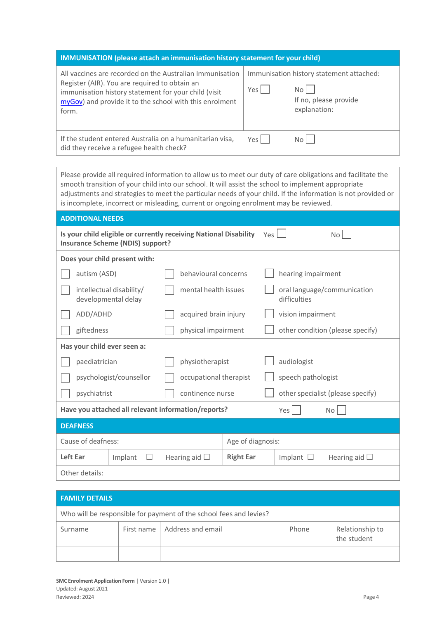| <b>IMMUNISATION</b> (please attach an immunisation history statement for your child)                                                                                                                                                  |       |                                                                                           |  |  |
|---------------------------------------------------------------------------------------------------------------------------------------------------------------------------------------------------------------------------------------|-------|-------------------------------------------------------------------------------------------|--|--|
| All vaccines are recorded on the Australian Immunisation<br>Register (AIR). You are required to obtain an<br>immunisation history statement for your child (visit<br>myGov) and provide it to the school with this enrolment<br>form. | Yes   | Immunisation history statement attached:<br>No l<br>If no, please provide<br>explanation: |  |  |
| If the student entered Australia on a humanitarian visa,<br>did they receive a refugee health check?                                                                                                                                  | Yes l | No I                                                                                      |  |  |

Please provide all required information to allow us to meet our duty of care obligations and facilitate the smooth transition of your child into our school. It will assist the school to implement appropriate adjustments and strategies to meet the particular needs of your child. If the information is not provided or is incomplete, incorrect or misleading, current or ongoing enrolment may be reviewed.

| <b>ADDITIONAL NEEDS</b>                                                                                      |                       |                  |                                             |  |  |
|--------------------------------------------------------------------------------------------------------------|-----------------------|------------------|---------------------------------------------|--|--|
| Is your child eligible or currently receiving National Disability<br><b>Insurance Scheme (NDIS) support?</b> |                       |                  | Yes L<br>No l                               |  |  |
| Does your child present with:                                                                                |                       |                  |                                             |  |  |
| autism (ASD)                                                                                                 | behavioural concerns  |                  | hearing impairment                          |  |  |
| intellectual disability/<br>developmental delay                                                              | mental health issues  |                  | oral language/communication<br>difficulties |  |  |
| ADD/ADHD                                                                                                     | acquired brain injury |                  | vision impairment                           |  |  |
| giftedness<br>physical impairment                                                                            |                       |                  | other condition (please specify)            |  |  |
| Has your child ever seen a:                                                                                  |                       |                  |                                             |  |  |
| paediatrician                                                                                                | physiotherapist       |                  | audiologist                                 |  |  |
| psychologist/counsellor<br>occupational therapist                                                            |                       |                  | speech pathologist                          |  |  |
| psychiatrist<br>continence nurse                                                                             |                       |                  | other specialist (please specify)           |  |  |
| Have you attached all relevant information/reports?<br>Yes<br><b>No</b>                                      |                       |                  |                                             |  |  |
| <b>DEAFNESS</b>                                                                                              |                       |                  |                                             |  |  |
| Cause of deafness:<br>Age of diagnosis:                                                                      |                       |                  |                                             |  |  |
| Left Ear<br>Implant<br>$\Box$                                                                                | Hearing aid $\Box$    | <b>Right Ear</b> | Hearing aid $\Box$<br>Implant $\Box$        |  |  |
| Other details:                                                                                               |                       |                  |                                             |  |  |

| <b>FAMILY DETAILS</b>                                              |              |                   |       |                                |
|--------------------------------------------------------------------|--------------|-------------------|-------|--------------------------------|
| Who will be responsible for payment of the school fees and levies? |              |                   |       |                                |
| Surname                                                            | First name 1 | Address and email | Phone | Relationship to<br>the student |
|                                                                    |              |                   |       |                                |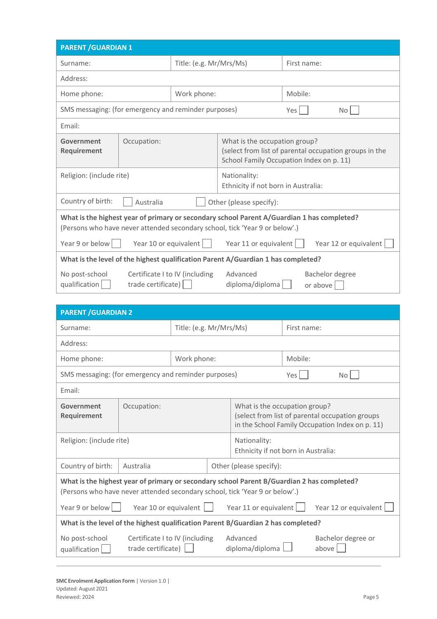| <b>PARENT / GUARDIAN 1</b>                                                                                                                                                |                                                      |                         |                                                                                                                                     |                             |  |
|---------------------------------------------------------------------------------------------------------------------------------------------------------------------------|------------------------------------------------------|-------------------------|-------------------------------------------------------------------------------------------------------------------------------------|-----------------------------|--|
| Surname:                                                                                                                                                                  |                                                      | Title: (e.g. Mr/Mrs/Ms) |                                                                                                                                     | First name:                 |  |
| Address:                                                                                                                                                                  |                                                      |                         |                                                                                                                                     |                             |  |
| Home phone:                                                                                                                                                               |                                                      | Work phone:             |                                                                                                                                     | Mobile:                     |  |
| SMS messaging: (for emergency and reminder purposes)                                                                                                                      |                                                      |                         |                                                                                                                                     | Yes I<br>No.                |  |
| Fmail:                                                                                                                                                                    |                                                      |                         |                                                                                                                                     |                             |  |
| Government<br>Requirement                                                                                                                                                 | Occupation:                                          |                         | What is the occupation group?<br>(select from list of parental occupation groups in the<br>School Family Occupation Index on p. 11) |                             |  |
| Religion: (include rite)                                                                                                                                                  |                                                      |                         | Nationality:<br>Ethnicity if not born in Australia:                                                                                 |                             |  |
| Country of birth:<br>Australia<br>Other (please specify):                                                                                                                 |                                                      |                         |                                                                                                                                     |                             |  |
| What is the highest year of primary or secondary school Parent A/Guardian 1 has completed?<br>(Persons who have never attended secondary school, tick 'Year 9 or below'.) |                                                      |                         |                                                                                                                                     |                             |  |
| Year 9 or below                                                                                                                                                           | Year 10 or equivalent                                |                         | Year 11 or equivalent                                                                                                               | Year 12 or equivalent       |  |
| What is the level of the highest qualification Parent A/Guardian 1 has completed?                                                                                         |                                                      |                         |                                                                                                                                     |                             |  |
| No post-school<br>qualification                                                                                                                                           | Certificate I to IV (including<br>trade certificate) |                         | Advanced<br>diploma/diploma                                                                                                         | Bachelor degree<br>or above |  |

| <b>PARENT / GUARDIAN 2</b>                                                                                                                                                                                                                                              |                                                      |                         |                                                                                                                                     |             |                             |
|-------------------------------------------------------------------------------------------------------------------------------------------------------------------------------------------------------------------------------------------------------------------------|------------------------------------------------------|-------------------------|-------------------------------------------------------------------------------------------------------------------------------------|-------------|-----------------------------|
| Surname:                                                                                                                                                                                                                                                                |                                                      | Title: (e.g. Mr/Mrs/Ms) |                                                                                                                                     | First name: |                             |
| Address:                                                                                                                                                                                                                                                                |                                                      |                         |                                                                                                                                     |             |                             |
| Home phone:                                                                                                                                                                                                                                                             |                                                      | Work phone:             |                                                                                                                                     | Mobile:     |                             |
| SMS messaging: (for emergency and reminder purposes)                                                                                                                                                                                                                    |                                                      |                         |                                                                                                                                     | Yes         | No.                         |
| Email:                                                                                                                                                                                                                                                                  |                                                      |                         |                                                                                                                                     |             |                             |
| Government<br>Requirement                                                                                                                                                                                                                                               | Occupation:                                          |                         | What is the occupation group?<br>(select from list of parental occupation groups<br>in the School Family Occupation Index on p. 11) |             |                             |
| Religion: (include rite)                                                                                                                                                                                                                                                |                                                      |                         | Nationality:<br>Ethnicity if not born in Australia:                                                                                 |             |                             |
| Country of birth:                                                                                                                                                                                                                                                       | Australia                                            |                         | Other (please specify):                                                                                                             |             |                             |
| What is the highest year of primary or secondary school Parent B/Guardian 2 has completed?<br>(Persons who have never attended secondary school, tick 'Year 9 or below'.)<br>Year 9 or below<br>Year 10 or equivalent<br>Year 11 or equivalent<br>Year 12 or equivalent |                                                      |                         |                                                                                                                                     |             |                             |
| What is the level of the highest qualification Parent B/Guardian 2 has completed?                                                                                                                                                                                       |                                                      |                         |                                                                                                                                     |             |                             |
| No post-school<br>qualification                                                                                                                                                                                                                                         | Certificate I to IV (including<br>trade certificate) |                         | Advanced<br>diploma/diploma                                                                                                         |             | Bachelor degree or<br>above |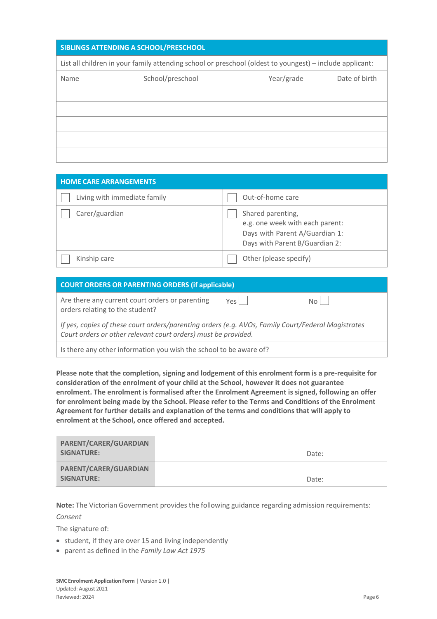| SIBLINGS ATTENDING A SCHOOL/PRESCHOOL |                                                                                                          |            |               |
|---------------------------------------|----------------------------------------------------------------------------------------------------------|------------|---------------|
|                                       | List all children in your family attending school or preschool (oldest to youngest) – include applicant: |            |               |
| Name                                  | School/preschool                                                                                         | Year/grade | Date of birth |
|                                       |                                                                                                          |            |               |
|                                       |                                                                                                          |            |               |
|                                       |                                                                                                          |            |               |
|                                       |                                                                                                          |            |               |
|                                       |                                                                                                          |            |               |

| <b>HOME CARE ARRANGEMENTS</b> |                                                                                                                          |
|-------------------------------|--------------------------------------------------------------------------------------------------------------------------|
| Living with immediate family  | Out-of-home care                                                                                                         |
| Carer/guardian                | Shared parenting,<br>e.g. one week with each parent:<br>Days with Parent A/Guardian 1:<br>Days with Parent B/Guardian 2: |
| Kinship care                  | Other (please specify)                                                                                                   |

| <b>COURT ORDERS OR PARENTING ORDERS (if applicable)</b>                                                                                                              |        |      |
|----------------------------------------------------------------------------------------------------------------------------------------------------------------------|--------|------|
| Are there any current court orders or parenting<br>orders relating to the student?                                                                                   | Yes II | Noll |
| If yes, copies of these court orders/parenting orders (e.g. AVOs, Family Court/Federal Magistrates<br>Court orders or other relevant court orders) must be provided. |        |      |
| Is there any other information you wish the school to be aware of?                                                                                                   |        |      |

**Please note that the completion, signing and lodgement of this enrolment form is a pre-requisite for consideration of the enrolment of your child at the School, however it does not guarantee enrolment. The enrolment is formalised after the Enrolment Agreement is signed, following an offer for enrolment being made by the School. Please refer to the Terms and Conditions of the Enrolment Agreement for further details and explanation of the terms and conditions that will apply to enrolment at the School, once offered and accepted.**

| PARENT/CARER/GUARDIAN<br>SIGNATURE: | Date: |
|-------------------------------------|-------|
| PARENT/CARER/GUARDIAN<br>SIGNATURE: | Date: |

**Note:** The Victorian Government provides the following guidance regarding admission requirements: *Consent*

The signature of:

- student, if they are over 15 and living independently
- parent as defined in the *Family Law Act 1975*